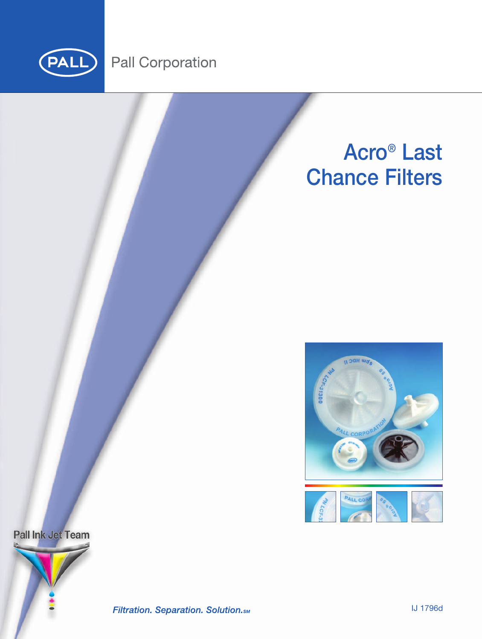

# **Pall Corporation**





Pall Ink Jet Team



Filtration. Separation. Solution.sm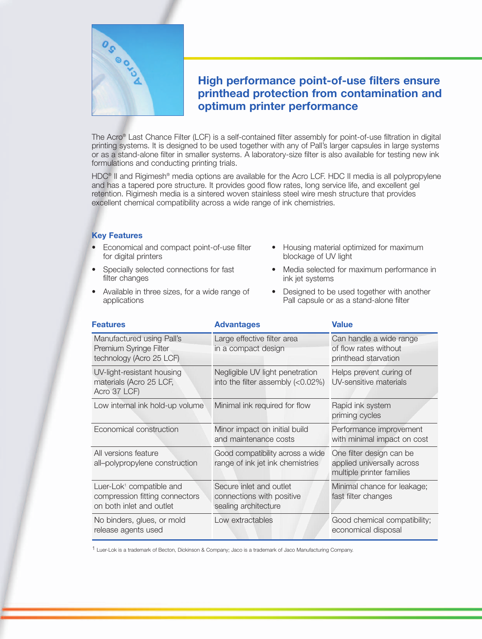

# **High performance point-of-use filters ensure printhead protection from contamination and optimum printer performance**

The Acro® Last Chance Filter (LCF) is a self-contained filter assembly for point-of-use filtration in digital printing systems. It is designed to be used together with any of Pall's larger capsules in large systems or as a stand-alone filter in smaller systems. A laboratory-size filter is also available for testing new ink formulations and conducting printing trials.

HDC<sup>®</sup> II and Rigimesh<sup>®</sup> media options are available for the Acro LCF. HDC II media is all polypropylene and has a tapered pore structure. It provides good flow rates, long service life, and excellent gel retention. Rigimesh media is a sintered woven stainless steel wire mesh structure that provides excellent chemical compatibility across a wide range of ink chemistries.

### **Key Features**

- Economical and compact point-of-use filter for digital printers
- Specially selected connections for fast filter changes
- Available in three sizes, for a wide range of applications
- Housing material optimized for maximum blockage of UV light
- Media selected for maximum performance in ink jet systems
- Designed to be used together with another Pall capsule or as a stand-alone filter

| <b>Features</b>                                                                                    | <b>Advantages</b>                                                            | <b>Value</b>                                                                        |
|----------------------------------------------------------------------------------------------------|------------------------------------------------------------------------------|-------------------------------------------------------------------------------------|
| Manufactured using Pall's<br>Premium Syringe Filter<br>technology (Acro 25 LCF)                    | Large effective filter area<br>in a compact design                           | Can handle a wide range<br>of flow rates without<br>printhead starvation            |
| UV-light-resistant housing<br>materials (Acro 25 LCF,<br>Acro 37 LCF)                              | Negligible UV light penetration<br>into the filter assembly $(<0.02\%)$      | Helps prevent curing of<br>UV-sensitive materials                                   |
| Low internal ink hold-up volume                                                                    | Minimal ink required for flow                                                | Rapid ink system<br>priming cycles                                                  |
| Economical construction<br>Minor impact on initial build<br>and maintenance costs                  |                                                                              | Performance improvement<br>with minimal impact on cost                              |
| All versions feature<br>all-polypropylene construction                                             | Good compatibility across a wide<br>range of ink jet ink chemistries         | One filter design can be<br>applied universally across<br>multiple printer families |
| Luer-Lok <sup>1</sup> compatible and<br>compression fitting connectors<br>on both inlet and outlet | Secure inlet and outlet<br>connections with positive<br>sealing architecture | Minimal chance for leakage;<br>fast filter changes                                  |
| No binders, glues, or mold<br>release agents used                                                  | Low extractables                                                             | Good chemical compatibility;<br>economical disposal                                 |

1 Luer-Lok is a trademark of Becton, Dickinson & Company; Jaco is a trademark of Jaco Manufacturing Company.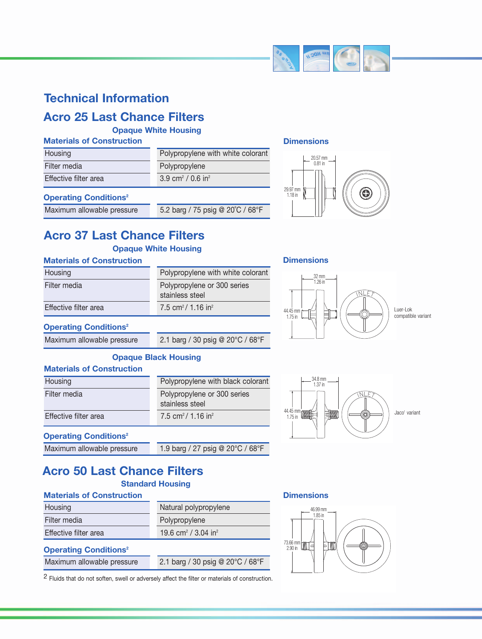

# **Technical Information**

# **Acro 25 Last Chance Filters**

**Opaque White Housing**

### **Materials of Construction**

| Housing               | Polypropylene with white colorant         |
|-----------------------|-------------------------------------------|
| Filter media          | Polypropylene                             |
| Effective filter area | 3.9 cm <sup>2</sup> / 0.6 in <sup>2</sup> |

### **Operating Conditions2**

Maximum allowable pressure 5.2 barg / 75 psig @ 20°C / 68°F

# **Dimensions**



# **Acro 37 Last Chance Filters**

# **Opaque White Housing**

### **Materials of Construction**

| Housing               | Polypropylene with white colorant              |
|-----------------------|------------------------------------------------|
| Filter media          | Polypropylene or 300 series<br>stainless steel |
| Effective filter area | 7.5 cm <sup>2</sup> / 1.16 in <sup>2</sup>     |

### **Dimensions**



# **Operating Conditions2**

**Operating Conditions2**

Maximum allowable pressure 2.1 barg / 30 psig @ 20°C / 68°F

# **Opaque Black Housing**

### **Materials of Construction**

| Housing               | Polypropylene with black colorant              |
|-----------------------|------------------------------------------------|
| Filter media          | Polypropylene or 300 series<br>stainless steel |
| Effective filter area | 7.5 cm <sup>2</sup> / 1.16 in <sup>2</sup>     |



Jaco<sup>1</sup> variant

# **Acro 50 Last Chance Filters**

#### **Materials of Construction Standard Housing**

Maximum allowable pressure 1.9 barg / 27 psig @ 20°C / 68°F

| <b>Materials of Construction</b>        |                                             |
|-----------------------------------------|---------------------------------------------|
| Housing                                 | Natural polypropylene                       |
| Filter media                            | Polypropylene                               |
| Effective filter area                   | 19.6 cm <sup>2</sup> / 3.04 in <sup>2</sup> |
| <b>Operating Conditions<sup>2</sup></b> |                                             |
| Maximum allowable pressure              | 2.1 barg / 30 psig @ 20°C / 68°F            |

#### **Dimensions**



2 Fluids that do not soften, swell or adversely affect the filter or materials of construction.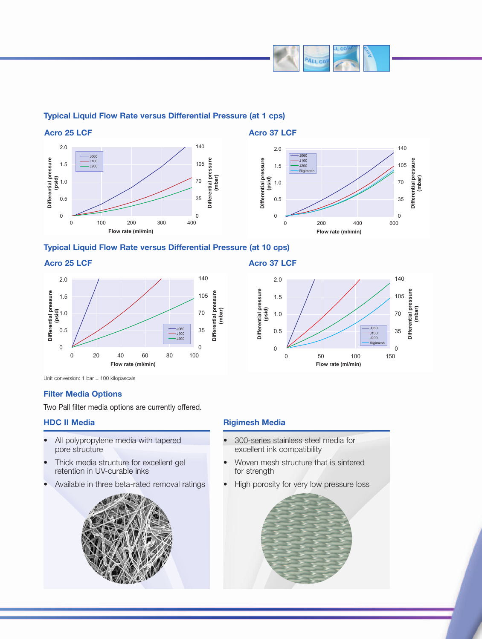

# **Typical Liquid Flow Rate versus Differential Pressure (at 1 cps)**



## **Typical Liquid Flow Rate versus Differential Pressure (at 10 cps)**

#### **Acro 25 LCF**



Unit conversion: 1 bar = 100 kilopascals

## **Filter Media Options**

Two Pall filter media options are currently offered.

### **HDC II Media**

- All polypropylene media with tapered pore structure
- Thick media structure for excellent gel retention in UV-curable inks
- Available in three beta-rated removal ratings



# **Acro 37 LCF**



### **Rigimesh Media**

- 300-series stainless steel media for excellent ink compatibility
- Woven mesh structure that is sintered for strength
- High porosity for very low pressure loss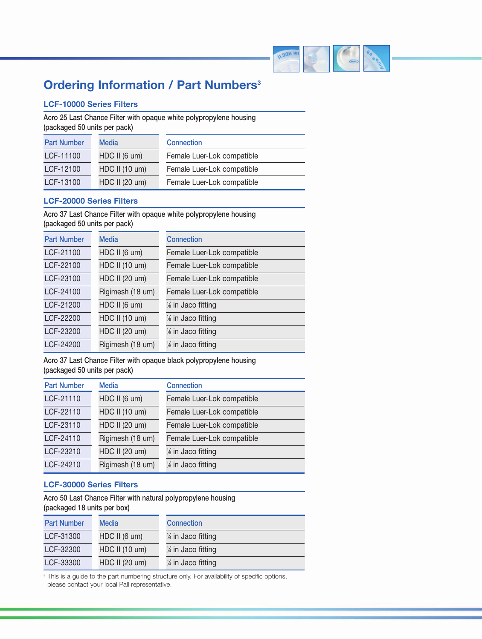

# **Ordering Information / Part Numbers3**

# **LCF-10000 Series Filters**

**Acro 25 Last Chance Filter with opaque white polypropylene housing (packaged 50 units per pack)**

| <b>Part Number</b> | Media          | <b>Connection</b>          |
|--------------------|----------------|----------------------------|
| LCF-11100          | HDC II (6 um)  | Female Luer-Lok compatible |
| LCF-12100          | HDC II (10 um) | Female Luer-Lok compatible |
| LCF-13100          | HDC II (20 um) | Female Luer-Lok compatible |

### **LCF-20000 Series Filters**

**Acro 37 Last Chance Filter with opaque white polypropylene housing (packaged 50 units per pack)**

| <b>Part Number</b> | <b>Media</b>     | <b>Connection</b>          |
|--------------------|------------------|----------------------------|
| LCF-21100          | HDC II (6 um)    | Female Luer-Lok compatible |
| LCF-22100          | HDC II (10 um)   | Female Luer-Lok compatible |
| LCF-23100          | HDC II (20 um)   | Female Luer-Lok compatible |
| LCF-24100          | Rigimesh (18 um) | Female Luer-Lok compatible |
| LCF-21200          | HDC II (6 um)    | 1% in Jaco fitting         |
| LCF-22200          | HDC II (10 um)   | % in Jaco fitting          |
| LCF-23200          | HDC II (20 um)   | 1% in Jaco fitting         |
| LCF-24200          | Rigimesh (18 um) | 1% in Jaco fitting         |

**Acro 37 Last Chance Filter with opaque black polypropylene housing (packaged 50 units per pack)**

| <b>Part Number</b> | <b>Media</b>     | <b>Connection</b>          |
|--------------------|------------------|----------------------------|
| LCF-21110          | HDC II (6 um)    | Female Luer-Lok compatible |
| LCF-22110          | HDC II (10 um)   | Female Luer-Lok compatible |
| LCF-23110          | HDC II (20 um)   | Female Luer-Lok compatible |
| LCF-24110          | Rigimesh (18 um) | Female Luer-Lok compatible |
| LCF-23210          | HDC II (20 um)   | % in Jaco fitting          |
| LCF-24210          | Rigimesh (18 um) | % in Jaco fitting          |

### **LCF-30000 Series Filters**

**Acro 50 Last Chance Filter with natural polypropylene housing (packaged 18 units per box)**

| <b>Part Number</b> | Media          | <b>Connection</b>   |
|--------------------|----------------|---------------------|
| LCF-31300          | HDC II (6 um)  | 1/4 in Jaco fitting |
| LCF-32300          | HDC II (10 um) | 1/4 in Jaco fitting |
| LCF-33300          | HDC II (20 um) | 1/4 in Jaco fitting |

<sup>3</sup> This is a guide to the part numbering structure only. For availability of specific options, please contact your local Pall representative.